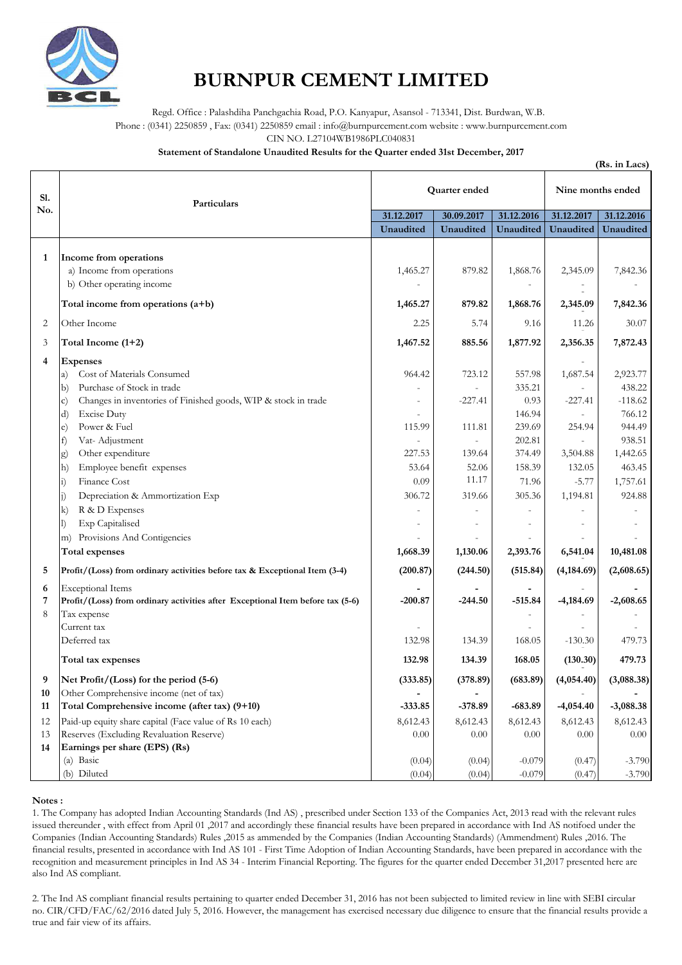

## **BURNPUR CEMENT LIMITED**

Regd. Office : Palashdiha Panchgachia Road, P.O. Kanyapur, Asansol - 713341, Dist. Burdwan, W.B.

Phone : (0341) 2250859 , Fax: (0341) 2250859 email : info@burnpurcement.com website : www.burnpurcement.com

CIN NO. L27104WB1986PLC040831

**Statement of Standalone Unaudited Results for the Quarter ended 31st December, 2017**

|                                 | (Rs. in Lacs)                                                                                                                                                                                                                                                                                                                                                                                                                                                                                                              |                                                                                                                 |                                                                                 |                                                                                                           |                                                                                          |                                                                                                                        |
|---------------------------------|----------------------------------------------------------------------------------------------------------------------------------------------------------------------------------------------------------------------------------------------------------------------------------------------------------------------------------------------------------------------------------------------------------------------------------------------------------------------------------------------------------------------------|-----------------------------------------------------------------------------------------------------------------|---------------------------------------------------------------------------------|-----------------------------------------------------------------------------------------------------------|------------------------------------------------------------------------------------------|------------------------------------------------------------------------------------------------------------------------|
| <b>S1.</b><br>No.               | Particulars                                                                                                                                                                                                                                                                                                                                                                                                                                                                                                                | Quarter ended                                                                                                   |                                                                                 |                                                                                                           | Nine months ended                                                                        |                                                                                                                        |
|                                 |                                                                                                                                                                                                                                                                                                                                                                                                                                                                                                                            | 31.12.2017                                                                                                      | 30.09.2017                                                                      | 31.12.2016                                                                                                | 31.12.2017                                                                               | 31.12.2016                                                                                                             |
|                                 |                                                                                                                                                                                                                                                                                                                                                                                                                                                                                                                            | <b>Unaudited</b>                                                                                                | <b>Unaudited</b>                                                                | <b>Unaudited</b>                                                                                          | Unaudited                                                                                | <b>Unaudited</b>                                                                                                       |
| 1                               | Income from operations<br>a) Income from operations<br>b) Other operating income                                                                                                                                                                                                                                                                                                                                                                                                                                           | 1,465.27                                                                                                        | 879.82                                                                          | 1,868.76                                                                                                  | 2,345.09                                                                                 | 7,842.36                                                                                                               |
|                                 | Total income from operations $(a+b)$                                                                                                                                                                                                                                                                                                                                                                                                                                                                                       | 1,465.27                                                                                                        | 879.82                                                                          | 1,868.76                                                                                                  | 2,345.09                                                                                 | 7,842.36                                                                                                               |
| 2                               | Other Income                                                                                                                                                                                                                                                                                                                                                                                                                                                                                                               | 2.25                                                                                                            | 5.74                                                                            | 9.16                                                                                                      | 11.26                                                                                    | 30.07                                                                                                                  |
| 3                               | Total Income (1+2)                                                                                                                                                                                                                                                                                                                                                                                                                                                                                                         | 1,467.52                                                                                                        | 885.56                                                                          | 1,877.92                                                                                                  | 2,356.35                                                                                 | 7,872.43                                                                                                               |
| 4                               | <b>Expenses</b><br>Cost of Materials Consumed<br>a)<br>Purchase of Stock in trade<br>(b<br>Changes in inventories of Finished goods, WIP & stock in trade<br>$\mathbf{C}$<br><b>Excise Duty</b><br>d)<br>Power & Fuel<br>e)<br>Vat-Adjustment<br>$ f\rangle$<br>Other expenditure<br>g)<br>Employee benefit expenses<br>$ h\rangle$<br>Finance Cost<br>$\ket{1}$<br>Depreciation & Ammortization Exp<br>R & D Expenses<br>$\bf k)$<br><b>Exp Capitalised</b><br>Provisions And Contigencies<br>m)<br><b>Total expenses</b> | 964.42<br>$\overline{\phantom{a}}$<br>115.99<br>227.53<br>53.64<br>0.09<br>306.72<br>$\overline{a}$<br>1,668.39 | 723.12<br>$-227.41$<br>111.81<br>139.64<br>52.06<br>11.17<br>319.66<br>1,130.06 | 557.98<br>335.21<br>0.93<br>146.94<br>239.69<br>202.81<br>374.49<br>158.39<br>71.96<br>305.36<br>2,393.76 | 1,687.54<br>$-227.41$<br>254.94<br>3,504.88<br>132.05<br>$-5.77$<br>1,194.81<br>6,541.04 | 2,923.77<br>438.22<br>$-118.62$<br>766.12<br>944.49<br>938.51<br>1,442.65<br>463.45<br>1,757.61<br>924.88<br>10,481.08 |
|                                 | Profit/(Loss) from ordinary activities before tax & Exceptional Item (3-4)                                                                                                                                                                                                                                                                                                                                                                                                                                                 | (200.87)                                                                                                        | (244.50)                                                                        | (515.84)                                                                                                  | (4, 184.69)                                                                              | (2,608.65)                                                                                                             |
| 6<br>7<br>8                     | <b>Exceptional Items</b><br>Profit/(Loss) from ordinary activities after Exceptional Item before tax (5-6)<br>Tax expense<br>Current tax<br>Deferred tax                                                                                                                                                                                                                                                                                                                                                                   | $-200.87$<br>132.98                                                                                             | $-244.50$<br>134.39                                                             | $-515.84$<br>168.05                                                                                       | $-4,184.69$<br>$-130.30$                                                                 | $-2,608.65$<br>479.73                                                                                                  |
|                                 | Total tax expenses                                                                                                                                                                                                                                                                                                                                                                                                                                                                                                         | 132.98                                                                                                          | 134.39                                                                          | 168.05                                                                                                    | (130.30)                                                                                 | 479.73                                                                                                                 |
| 9<br>10<br>11<br>12<br>13<br>14 | Net Profit/(Loss) for the period (5-6)<br>Other Comprehensive income (net of tax)<br>Total Comprehensive income (after tax) (9+10)<br>Paid-up equity share capital (Face value of Rs 10 each)<br>Reserves (Excluding Revaluation Reserve)<br>Earnings per share (EPS) (Rs)<br>(a) Basic                                                                                                                                                                                                                                    | (333.85)<br>$-333.85$<br>8,612.43<br>0.00<br>(0.04)                                                             | (378.89)<br>$-378.89$<br>8,612.43<br>0.00<br>(0.04)                             | (683.89)<br>$-683.89$<br>8,612.43<br>0.00<br>$-0.079$                                                     | (4,054.40)<br>$-4,054.40$<br>8,612.43<br>0.00<br>(0.47)                                  | (3,088.38)<br>$-3,088.38$<br>8,612.43<br>$0.00\,$<br>$-3.790$                                                          |
|                                 | (b) Diluted                                                                                                                                                                                                                                                                                                                                                                                                                                                                                                                | (0.04)                                                                                                          | (0.04)                                                                          | $-0.079$                                                                                                  | (0.47)                                                                                   | $-3.790$                                                                                                               |

## **Notes :**

1. The Company has adopted Indian Accounting Standards (Ind AS) , prescribed under Section 133 of the Companies Act, 2013 read with the relevant rules issued thereunder , with effect from April 01 ,2017 and accordingly these financial results have been prepared in accordance with Ind AS notifoed under the Companies (Indian Accounting Standards) Rules ,2015 as ammended by the Companies (Indian Accounting Standards) (Ammendment) Rules ,2016. The financial results, presented in accordance with Ind AS 101 - First Time Adoption of Indian Accounting Standards, have been prepared in accordance with the recognition and measurement principles in Ind AS 34 - Interim Financial Reporting. The figures for the quarter ended December 31,2017 presented here are also Ind AS compliant.

2. The Ind AS compliant financial results pertaining to quarter ended December 31, 2016 has not been subjected to limited review in line with SEBI circular no. CIR/CFD/FAC/62/2016 dated July 5, 2016. However, the management has exercised necessary due diligence to ensure that the financial results provide a true and fair view of its affairs.